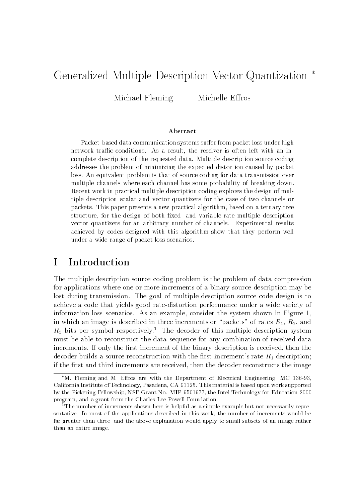# Generalized Multiple Description Vector Quantization

Michael Fleming

Michelle Effros

#### Abstract

Packet-based data communication systems suffer from packet loss under high network traffic conditions. As a result, the receiver is often left with an incomplete description of the requested data. Multiple description source coding addresses the problem of minimizing the expected distortion caused by packet loss. An equivalent problem is that of source coding for data transmission over multiple channels where each channel has some probability of breaking down. Recent work in practical multiple description coding explores the design of multiple description scalar and vector quantizers for the case of two channels or packets. This paper presents a new practical algorithm, based on a ternary tree structure, for the design of both fixed- and variable-rate multiple description vector quantizers for an arbitrary number of channels. Experimental results achieved by codes designed with this algorithm show that they perform well under a wide range of packet loss scenarios.

### I Introduction

The multiple description source coding problem is the problem of data compression for applications where one or more increments of a binary source description may be lost during transmission. The goal of multiple description source code design is to achieve a code that yields good rate-distortion performance under a wide variety of information loss scenarios. As an example, consider the system shown in Figure 1, in which an image is described in three increments or "packets" of rates  $R_1, R_2$ , and  $R_3$  bits per symbol respectively.<sup>1</sup> The decoder of this multiple description system must be able to reconstruct the data sequence for any combination of received data increments. If only the first increment of the binary description is received, then the decoder builds a source reconstruction with the first increment's rate- $R_1$  description; if the first and third increments are received, then the decoder reconstructs the image

<sup>\*</sup>M. Fleming and M. Effros are with the Department of Electrical Engineering, MC 136-93, California Institute of Technology, Pasadena, CA 91125. This material is based upon work supported by the Pickering Fellowship, NSF Grant No. MIP-9501977, the Intel Technology for Education 2000 program, and a grant from the Charles Lee Powell Foundation.

<sup>&</sup>lt;sup>1</sup>The number of increments shown here is helpful as a simple example but not necessarily representative. In most of the applications described in this work, the number of increments would be far greater than three, and the above explanation would apply to small subsets of an image rather than an entire image.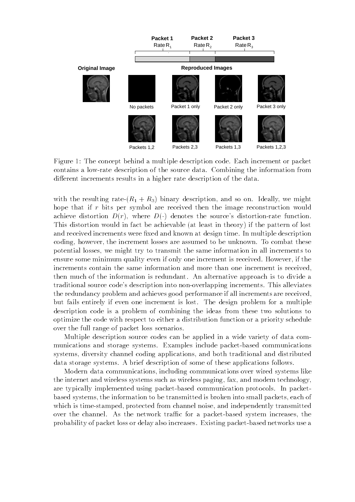

Figure 1: The concept behind a multiple description code. Each increment or packet contains a low-rate description of the source data. Combining the information from different increments results in a higher rate description of the data.

with the resulting rate- $(R_1 + R_3)$  binary description, and so on. Ideally, we might hope that if r bits per symbol are received then the image reconstruction would achieve distortion  $D(r)$ , where  $D(r)$  denotes the source's distortion-rate function. This distortion would in fact be achievable (at least in theory) if the pattern of lost and received increments were fixed and known at design time. In multiple description coding, however, the increment losses are assumed to be unknown. To combat these potential losses, we might try to transmit the same information in all increments to ensure some minimum quality even if only one increment is received. However, if the increments contain the same information and more than one increment is received, then much of the information is redundant. An alternative approach is to divide a traditional source code's description into non-overlapping increments. This alleviates the redundancy problem and achieves good performance if all increments are received, but fails entirely if even one increment is lost. The design problem for a multiple description code is a problem of combining the ideas from these two solutions to optimize the code with respect to either a distribution function or a priority schedule over the full range of packet loss scenarios.

Multiple description source codes can be applied in a wide variety of data communications and storage systems. Examples include packet-based communications systems, diversity channel coding applications, and both traditional and distributed data storage systems. A brief description of some of these applications follows.

Modern data communications, including communications over wired systems like the internet and wireless systems such as wireless paging, fax, and modem technology, are typically implemented using packet-based communication protocols. In packetbased systems, the information to be transmitted is broken into small packets, each of which is time-stamped, protected from channel noise, and independently transmitted over the channel. As the network traffic for a packet-based system increases, the probability of packet loss or delay also increases. Existing packet-based networks use a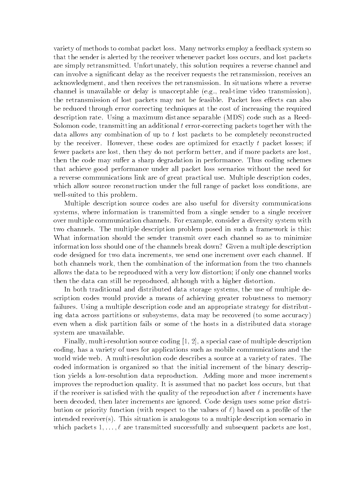variety of methods to combat packet loss. Many networks employ a feedback system so that the sender is alerted by the receiver whenever packet loss occurs, and lost packets are simply retransmitted. Unfortunately, this solution requires a reverse channel and can involve a signicant delay as the receiver requests the retransmission, receives an acknowledgment, and then receives the retransmission. In situations where a reverse channel is unavailable or delay is unacceptable (e.g., real-time video transmission), the retransmission of lost packets may not be feasible. Packet loss effects can also be reduced through error correcting techniques at the cost of increasing the required description rate. Using a maximum distance separable (MDS) code such as a Reed-Solomon code, transmitting an additional  $t$  error-correcting packets together with the data allows any combination of up to <sup>t</sup> lost packets to be completely reconstructed by the receiver. However, these codes are optimized for exactly  $t$  packet losses; if fewer packets are lost, then they do not perform better, and if more packets are lost, then the code may suffer a sharp degradation in performance. Thus coding schemes that achieve good performance under all packet loss scenarios without the need for a reverse communications link are of great practical use. Multiple description codes, which allow source reconstruction under the full range of packet loss conditions, are well-suited to this problem.

Multiple description source codes are also useful for diversity communications systems, where information is transmitted from a single sender to a single receiver over multiple communication channels. For example, consider a diversity system with two channels. The multiple description problem posed in such a framework is this: What information should the sender transmit over each channel so as to minimize information loss should one of the channels break down? Given a multiple description code designed for two data increments, we send one increment over each channel. If both channels work, then the combination of the information from the two channels allows the data to be reproduced with a very low distortion; if only one channel works then the data can still be reproduced, although with a higher distortion.

In both traditional and distributed data storage systems, the use of multiple description codes would provide a means of achieving greater robustness to memory failures. Using a multiple description code and an appropriate strategy for distributing data across partitions or subsystems, data may be recovered (to some accuracy) even when a disk partition fails or some of the hosts in a distributed data storage system are unavailable.

Finally, multi-resolution source coding [1, 2], a special case of multiple description coding, has a variety of uses for applications such as mobile communications and the world wide web. A multi-resolution code describes a source at a variety of rates. The coded information is organized so that the initial increment of the binary description yields a low-resolution data reproduction. Adding more and more increments improves the reproduction quality. It is assumed that no packet loss occurs, but that if the receiver is satisfied with the quality of the reproduction after  $\ell$  increments have been decoded, then later increments are ignored. Code design uses some prior distribution or priority function (with respect to the values of  $\ell$ ) based on a profile of the intended receiver(s). This situation is analogous to a multiple description scenario in which packets  $1,\ldots,\ell$  are transmitted successfully and subsequent packets are lost,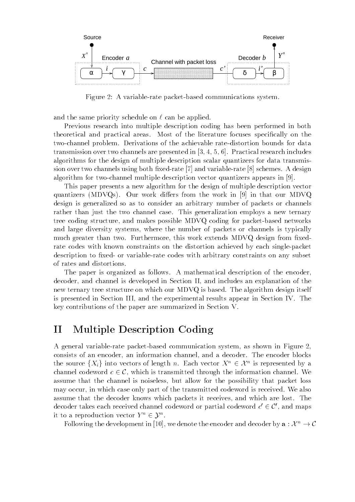

Figure 2: A variable-rate packet-based communications system.

and the same priority schedule on  $\ell$  can be applied.

Previous research into multiple description coding has been performed in both theoretical and practical areas. Most of the literature focuses specically on the two-channel problem. Derivations of the achievable rate-distortion bounds for data transmission over two channels are presented in [3, 4, 5, 6]. Practical research includes algorithms for the design of multiple description scalar quantizers for data transmission over two channels using both fixed-rate  $[7]$  and variable-rate  $[8]$  schemes. A design algorithm for two-channel multiple description vector quantizers appears in [9].

This paper presents a new algorithm for the design of multiple description vector quantizers (MDVQs). Our work differs from the work in [9] in that our MDVQ design is generalized so as to consider an arbitrary number of packets or channels rather than just the two channel case. This generalization employs a new ternary tree coding structure, and makes possible MDVQ coding for packet-based networks and large diversity systems, where the number of packets or channels is typically much greater than two. Furthermore, this work extends MDVQ design from fixedrate codes with known constraints on the distortion achieved by each single-packet description to fixed- or variable-rate codes with arbitrary constraints on any subset of rates and distortions.

The paper is organized as follows. A mathematical description of the encoder, decoder, and channel is developed in Section II, and includes an explanation of the new ternary tree structure on which our MDVQ is based. The algorithm design itself is presented in Section III, and the experimental results appear in Section IV. The key contributions of the paper are summarized in Section V.

## II Multiple Description Coding

A general variable-rate packet-based communication system, as shown in Figure 2, consists of an encoder, an information channel, and a decoder. The encoder blocks the source  $\{X_i\}$  into vectors of length n. Each vector  $X^n \in \mathcal{X}^n$  is represented by a channel codeword  $c \in \mathcal{C}$ , which is transmitted through the information channel. We assume that the channel is noiseless, but allow for the possibility that packet loss may occur, in which case only part of the transmitted codeword is received. We also assume that the decoder knows which packets it receives, and which are lost. The decoder takes each received channel codeword or partial codeword  $c' \in \mathcal{C}'$ , and maps it to a reproduction vector  $Y^n \in \mathcal{Y}^n$ .

Following the development in [10], we denote the encoder and decoder by  $\mathbf{a}: \mathcal{X}^n \to \mathcal{C}$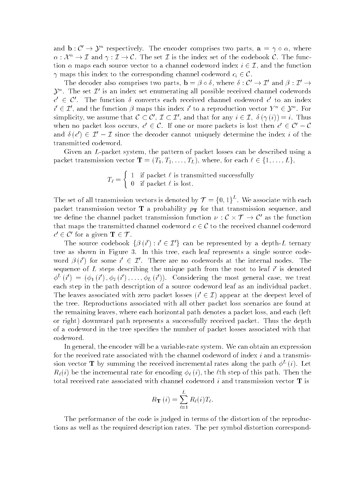and  $\mathbf{b}: \mathcal{C}' \to \mathcal{Y}^n$  respectively. The encoder comprises two parts,  $\mathbf{a} = \gamma \circ \alpha$ , where  $\alpha: \mathcal{X}^n \to \mathcal{I}$  and  $\gamma: \mathcal{I} \to \mathcal{C}$ . The set  $\mathcal{I}$  is the index set of the codebook  $\mathcal{C}$ . The function  $\alpha$  maps each source vector to a channel codeword index  $i \in \mathcal{I}$ , and the function  $\gamma$  maps this index to the corresponding channel codeword  $c_i \in \mathcal{C}$ .

The decoder also comprises two parts,  $\mathbf{b} = \beta \circ \delta$ , where  $\delta : \mathcal{C}' \to \mathcal{I}'$  and  $\beta : \mathcal{I}' \to$  $\mathcal{Y}^n.$  The set  $\mathcal{I}'$  is an index set enumerating all possible received channel codewords  $c' \in \mathcal{C}'$ . The function  $\delta$  converts each received channel codeword  $c'$  to an index  $i' \in \mathcal{I}'$ , and the function  $\beta$  maps this index i' to a reproduction vector  $Y^n \in \mathcal{Y}^n$ . For simplicity, we assume that  $\mathcal{C} \subset \mathcal{C}'$ ,  $\mathcal{I} \subset \mathcal{I}'$ , and that for any  $i \in \mathcal{I}$ ,  $\delta(\gamma(i)) = i$ . Thus when no packet loss occurs,  $c' \in \mathcal{C}$ . If one or more packets is lost then  $c' \in \mathcal{C}' - \mathcal{C}$ and  $\delta(c') \in \mathcal{I}' - \mathcal{I}$  since the decoder cannot uniquely determine the index i of the transmitted codeword.

Given an L-packet system, the pattern of packet losses can be described using a packet transmission vector  $\mathbf{T} = (T_1, T_2, \ldots, T_L)$ , where, for each  $\ell \in \{1, \ldots, L\}$ ,

$$
T_{\ell} = \left\{ \begin{array}{ll} 1 & \text{if packet } \ell \text{ is transmitted successfully} \\ 0 & \text{if packet } \ell \text{ is lost.} \end{array} \right.
$$

The set of all transmission vectors is denoted by  $\mathcal{T} = \{0,1\}^L.$  We associate with each packet transmission vector **T** a probability  $p_T$  for that transmission sequence, and we define the channel packet transmission function  $\nu : \mathcal{C} \times \mathcal{T} \to \mathcal{C}'$  as the function that maps the transmitted channel codeword  $c \in \mathcal{C}$  to the received channel codeword  $c' \in \mathcal{C}'$  for a given  $\mathbf{T} \in \mathcal{T}$ .

The source codebook  $\{\beta(i'): i' \in \mathcal{I}'\}$  can be represented by a depth-L ternary tree as shown in Figure 3. In this tree, each leaf represents a single source codeword  $\beta(i')$  for some  $i' \in \mathcal{I}'$ . There are no codewords at the internal nodes. The sequence of  $L$  steps describing the unique path from the root to leaf  $\imath$  is denoted  $\varphi^-(i) = (\varphi_1(i), \varphi_2(i), \ldots, \varphi_L(i))$ . Considering the most general case, we treat each step in the path description of a source codeword leaf as an individual packet. The leaves associated with zero packet losses  $(i \in \mathcal{I})$  appear at the deepest level of the tree. Reproductions associated with all other packet loss scenarios are found at the remaining leaves, where each horizontal path denotes a packet loss, and each (left or right) downward path represents a successfully received packet. Thus the depth of a codeword in the tree specifies the number of packet losses associated with that codeword.

In general, the encoder will be a variable-rate system. We can obtain an expression for the received rate associated with the channel codeword of index  $i$  and a transmission vector  $\bf{1}$  by summing the received incremental rates along the path  $\phi^{-}(i)$ . Let  $R_{\ell}(i)$  be the incremental rate for encoding  $\phi_{\ell}(i)$ , the  $\ell$ th step of this path. Then the total received rate associated with channel codeword  $i$  and transmission vector  $T$  is

$$
R_{\mathbf{T}}(i) = \sum_{\ell=1}^{L} R_{\ell}(i) T_{\ell}.
$$

The performance of the code is judged in terms of the distortion of the reproductions as well as the required description rates. The per symbol distortion correspond-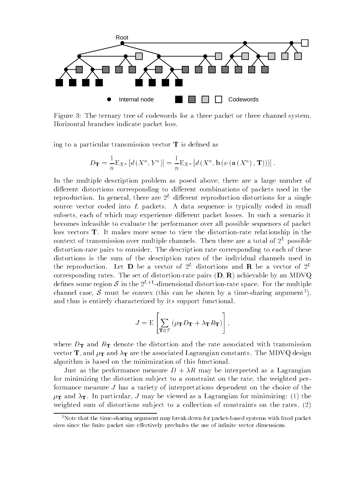

Figure 3: The ternary tree of codewords for a three packet or three channel system. Horizontal branches indicate packet loss.

ing to a particular transmission vector  $T$  is defined as

$$
D_{\mathbf{T}} = \frac{1}{n} \mathbb{E}_{X^n} \left[ d \left( X^n, Y^n \right) \right] = \frac{1}{n} \mathbb{E}_{X^n} \left[ d \left( X^n, \mathbf{b} \left( \nu \left( \mathbf{a} \left( X^n \right), \mathbf{T} \right) \right) \right) \right].
$$

In the multiple description problem as posed above, there are a large number of different distortions corresponding to different combinations of packets used in the reproduction. In general, there are  $2^L$  different reproduction distortions for a single source vector coded into <sup>L</sup> packets. A data sequence is typically coded in small subsets, each of which may experience different packet losses. In such a scenario it becomes infeasible to evaluate the performance over all possible sequences of packet loss vectors T. It makes more sense to view the distortion-rate relationship in the context of transmission over multiple channels. Then there are a total of  $2^L$  possible distortion-rate pairs to consider. The description rate corresponding to each of these distortions is the sum of the description rates of the individual channels used in the reproduction. Let **D** be a vector of  $2^L$  distortions and **R** be a vector of  $2^L$ corresponding rates. The set of distortion-rate pairs  $(D, R)$  achievable by an MDVQ defines some region S in the  $2^{L+1}$ -dimensional distortion-rate space. For the multiple channel case, S must be convex (this can be shown by a time-sharing argument<sup>2</sup>), and thus is entirely characterized by its support functional,

$$
J = \mathbf{E} \left[ \sum_{\mathbf{T} \in \mathcal{T}} \left( \mu_{\mathbf{T}} D_{\mathbf{T}} + \lambda_{\mathbf{T}} R_{\mathbf{T}} \right) \right],
$$

where  $D_T$  and  $R_T$  denote the distortion and the rate associated with transmission vector **T**, and  $\mu_{\mathbf{T}}$  and  $\lambda_{\mathbf{T}}$  are the associated Lagrangian constants. The MDVQ design algorithm is based on the minimization of this functional.

Just as the performance measure  $D + \lambda R$  may be interpreted as a Lagrangian for minimizing the distortion subject to a constraint on the rate, the weighted performance measure  $J$  has a variety of interpretations dependent on the choice of the  $\mu_{\rm T}$  and  $\lambda_{\rm T}$ . In particular, J may be viewed as a Lagrangian for minimizing: (1) the weighted sum of distortions subject to a collection of constraints on the rates,  $(2)$ 

<sup>&</sup>lt;sup>2</sup> Note that the time-sharing argument may break down for packet-based systems with fixed packet sizes since the finite packet size effectively precludes the use of infinite vector dimensions.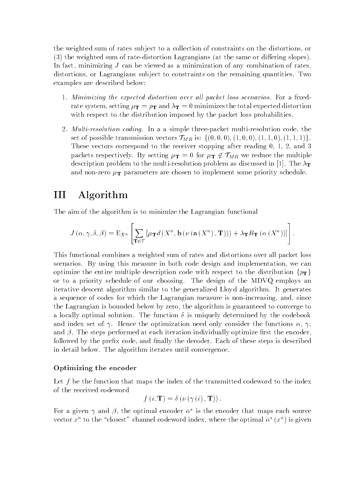the weighted sum of rates subject to a collection of constraints on the distortions, or  $(3)$  the weighted sum of rate-distortion Lagrangians (at the same or differing slopes). In fact, minimizing  $J$  can be viewed as a minimization of any combination of rates, distortions, or Lagrangians subject to constraints on the remaining quantities. Two examples are described below:

- 1. Minimizing the expected distortion over all packet loss scenarios. For a fixedrate system, setting  $\mu_{\bf T} = p_{\bf T}$  and  $\lambda_{\bf T} = 0$  minimizes the total expected distortion with respect to the distribution imposed by the packet loss probabilities.
- 2. Multi-resolution coding. In a a simple three-packet multi-resolution code, the set of possible transmission vectors  $\mathcal{T}_{MR}$  is:  $\{(0,0,0), (1,0,0), (1,1,0), (1,1,1)\}.$ These vectors correspond to the receiver stopping after reading 0, 1, 2, and 3 packets respectively. By setting  $\mu_{\rm T} = 0$  for  $\mu_{\rm T} \notin \mathcal{T}_{MR}$  we reduce the multiple description problem to the multi-resolution problem as discussed in [1]. The  $\lambda_T$ and non-zero  $\mu_{\rm T}$  parameters are chosen to implement some priority schedule.

#### Algorithm **TTT**

The aim of the algorithm is to minimize the Lagrangian functional

$$
J(\alpha, \gamma, \delta, \beta) = \mathcal{E}_{X^n} \left[ \sum_{\mathbf{T} \in \mathcal{T}} \left[ \mu_{\mathbf{T}} d\left(X^n, \mathbf{b}\left(\nu\left(\mathbf{a}\left(X^n\right), \mathbf{T}\right)\right)\right) + \lambda_{\mathbf{T}} R_{\mathbf{T}}\left(\alpha\left(X^n\right)\right) \right] \right].
$$

This functional combines a weighted sum of rates and distortions over all packet loss scenarios. By using this measure in both code design and implementation, we can optimize the entire multiple description code with respect to the distribution  $\{p_T\}$ or to a priority schedule of our choosing. The design of the MDVQ employs an iterative descent algorithm similar to the generalized Lloyd algorithm. It generates a sequence of codes for which the Lagrangian measure is non-increasing, and, since the Lagrangian is bounded below by zero, the algorithm is guaranteed to converge to a locally optimal solution. The function  $\delta$  is uniquely determined by the codebook and index set of  $\gamma$ . Hence the optimization need only consider the functions  $\alpha$ ,  $\gamma$ , and  $\beta$ . The steps performed at each iteration individually optimize first the encoder, followed by the prefix code, and finally the decoder. Each of these steps is described in detail below. The algorithm iterates until convergence.

### Optimizing the encoder

Let f be the function that maps the index of the transmitted codeword to the index of the received codeword

$$
f(i, \mathbf{T}) = \delta(\nu(\gamma(i), \mathbf{T})).
$$

For a given  $\gamma$  and  $\rho$ , the optimal encoder  $\alpha$  is the encoder that maps each source vector  $x^+$  to the closest channel codeword index, where the optimal  $\alpha^-(x^+)$  is given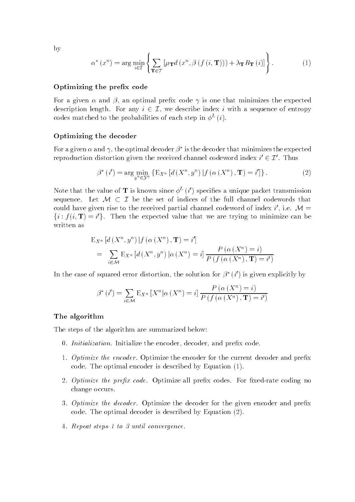by

$$
\alpha^*(x^n) = \arg\min_{i \in \mathcal{I}} \left\{ \sum_{\mathbf{T} \in \mathcal{T}} \left[ \mu_{\mathbf{T}} d\left(x^n, \beta\left(f\left(i, \mathbf{T}\right)\right)\right) + \lambda_{\mathbf{T}} R_{\mathbf{T}}\left(i\right) \right] \right\}.
$$
 (1)

#### Optimizing the prefix code

For a given  $\alpha$  and  $\beta$ , an optimal prefix code  $\gamma$  is one that minimizes the expected description length. For any  $i \in \mathcal{I}$ , we describe index i with a sequence of entropy codes matched to the probabilities of each step in  $\varphi^{-}(i)$ .

#### Optimizing the decoder

For a given  $\alpha$  and  $\gamma$ , the optimal decoder  $\rho$  -is the decoder that minimizes the expected reproduction distortion given the received channel codeword index  $i' \in \mathcal{I}'$ . Thus

$$
\beta^*(i') = \arg\min_{y^n \in \mathcal{Y}^n} \left\{ \mathbb{E}_{X^n} \left[ d\left(X^n, y^n\right) \middle| f\left(\alpha\left(X^n\right), \mathbf{T}\right) = i' \right] \right\}. \tag{2}
$$

Note that the value of  $\bf 1$  is known since  $\varphi^-$  (  $i$  ) specifies a unique packet transmission sequence. Let  $\mathcal{M} \subset \mathcal{I}$  be the set of indices of the full channel codewords that could have given rise to the received partial channel codeword of index  $i'$ , i.e.  $\mathcal{M} =$  $\{i : f(i, \mathbf{T}) = i'\}.$  Then the expected value that we are trying to minimize can be written as

$$
\begin{aligned} \mathcal{E}_{X^n} \left[ d\left( X^n, y^n \right) \middle| f\left( \alpha \left( X^n \right), \mathbf{T} \right) = i' \right] \\ &= \sum_{i \in \mathcal{M}} \mathcal{E}_{X^n} \left[ d\left( X^n, y^n \right) \middle| \alpha \left( X^n \right) = i \right] \frac{P\left( \alpha \left( X^n \right) = i \right)}{P\left( f\left( \alpha \left( X^n \right), \mathbf{T} \right) = i' \right)} \end{aligned}
$$

In the case of squared error distortion, the solution for  $\rho$   $\rightarrow$  (i) is given explicitly by

$$
\beta^*(i') = \sum_{i \in \mathcal{M}} \mathbb{E}_{X^n} \left[ X^n | \alpha(X^n) = i \right] \frac{P(\alpha(X^n) = i)}{P(f(\alpha(X^n), \mathbf{T}) = i')}
$$

### The algorithm

The steps of the algorithm are summarized below:

- $0.$  Initialization. Initialize the encoder, decoder, and prefix code.
- 1. Optimize the encoder. Optimize the encoder for the current decoder and prefix code. The optimal encoder is described by Equation (1).
- 2. Optimize the prefix code. Optimize all prefix codes. For fixed-rate coding no change occurs.
- 3. Optimize the decoder. Optimize the decoder for the given encoder and prefix code. The optimal decoder is described by Equation (2).
- 4. Repeat steps 1 to 3 until convergence.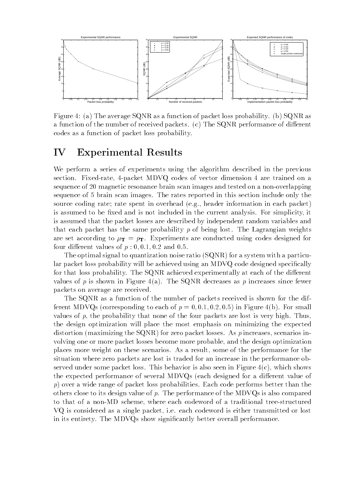

Figure 4: (a) The average SQNR as a function of packet loss probability. (b) SQNR as a function of the number of received packets.  $(c)$  The SQNR performance of different codes as a function of packet loss probability.

### IV Experimental Results

We perform a series of experiments using the algorithm described in the previous section. Fixed-rate, 4-packet MDVQ codes of vector dimension 4 are trained on a sequence of 20 magnetic resonance brain scan images and tested on a non-overlapping sequence of 5 brain scan images. The rates reported in this section include only the source coding rate; rate spent in overhead (e.g., header information in each packet) is assumed to be fixed and is not included in the current analysis. For simplicity, it is assumed that the packet losses are described by independent random variables and that each packet has the same probability  $p$  of being lost. The Lagrangian weights are set according to  $\mu_{\rm T} = p_{\rm T}$ . Experiments are conducted using codes designed for four different values of  $p: 0, 0.1, 0.2$  and 0.5.

The optimal signal to quantization noise ratio (SQNR) for a system with a particular packet loss probability will be achieved using an MDVQ code designed specifically for that loss probability. The SQNR achieved experimentally at each of the different values of p is shown in Figure 4(a). The SQNR decreases as p increases since fewer packets on average are received.

The SQNR as a function of the number of packets received is shown for the different MDVQs (corresponding to each of  $p = 0, 0.1, 0.2, 0.5$ ) in Figure 4(b). For small values of  $p$ , the probability that none of the four packets are lost is very high. Thus, the design optimization will place the most emphasis on minimizing the expected distortion (maximizing the  $SQNR$ ) for zero packet losses. As p increases, scenarios involving one or more packet losses become more probable, and the design optimization places more weight on these scenarios. As a result, some of the performance for the situation where zero packets are lost is traded for an increase in the performance observed under some packet loss. This behavior is also seen in Figure  $4(c)$ , which shows the expected performance of several MDVQs (each designed for a different value of  $p$ ) over a wide range of packet loss probabilities. Each code performs better than the others close to its design value of p. The performance of the MDVQs is also compared to that of a non-MD scheme, where each codeword of a traditional tree-structured VQ is considered as a single packet, i.e. each codeword is either transmitted or lost in its entirety. The MDVQs show signicantly better overall performance.